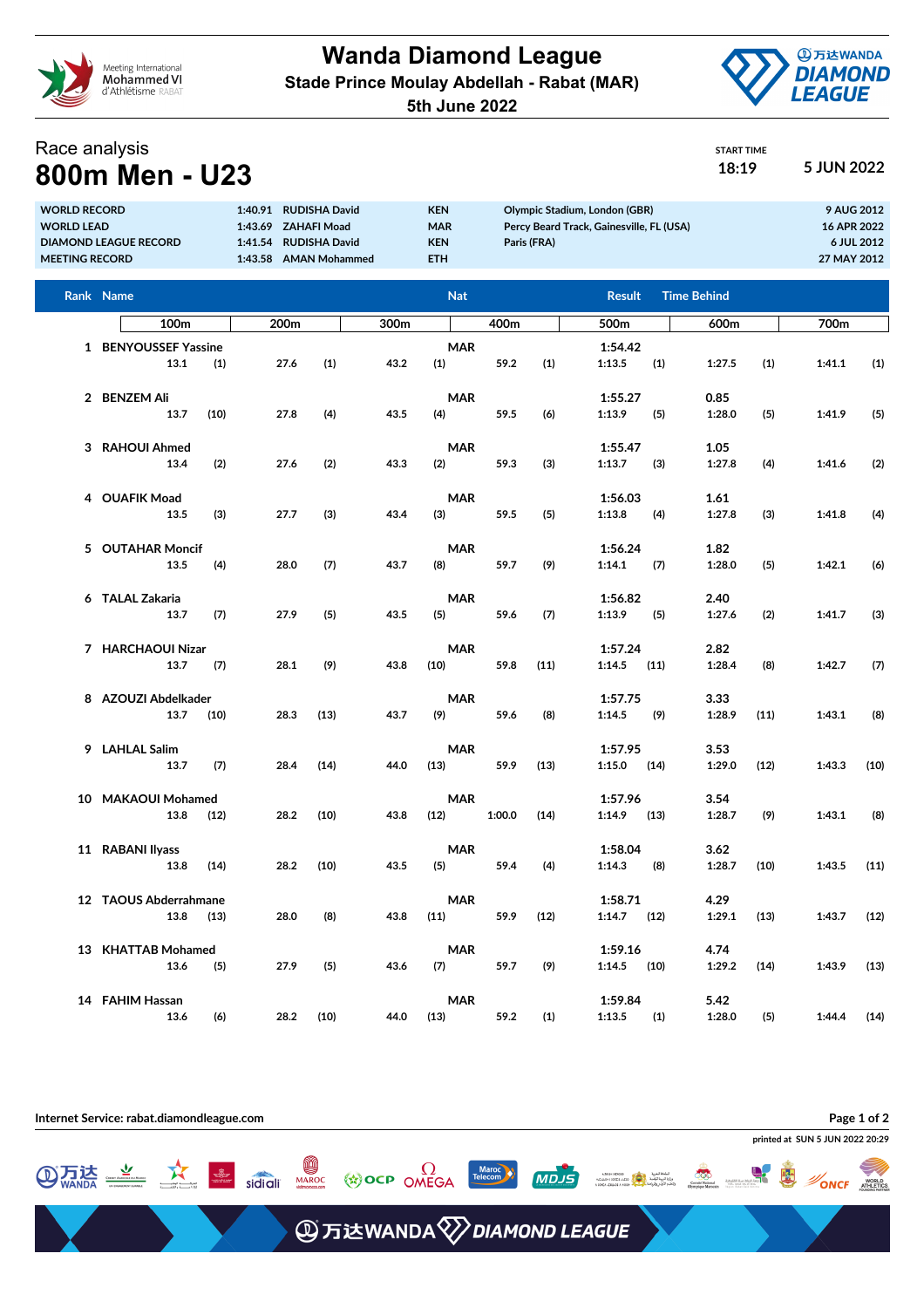

**Wanda Diamond League Stade Prince Moulay Abdellah - Rabat (MAR)**



START TIME

**5th June 2022**

## Race analysis **800m Men - U23 18:19 18:19 5 JUN 2022**

| <b>WORLD RECORD</b><br><b>WORLD LEAD</b><br><b>DIAMOND LEAGUE RECORD</b><br><b>MEETING RECORD</b> |                           |      | 1:40.91 RUDISHA David<br>1:43.69 ZAHAFI Moad<br>1:41.54<br><b>RUDISHA David</b><br>1:43.58 AMAN Mohammed |      |      | <b>KEN</b><br><b>MAR</b><br><b>KEN</b><br><b>ETH</b> | Olympic Stadium, London (GBR)<br>Percy Beard Track, Gainesville, FL (USA)<br>Paris (FRA) |      |                         |      |                    |      | 9 AUG 2012<br>16 APR 2022<br>6 JUL 2012<br>27 MAY 2012 |      |
|---------------------------------------------------------------------------------------------------|---------------------------|------|----------------------------------------------------------------------------------------------------------|------|------|------------------------------------------------------|------------------------------------------------------------------------------------------|------|-------------------------|------|--------------------|------|--------------------------------------------------------|------|
|                                                                                                   | Rank Name                 |      |                                                                                                          |      |      | <b>Nat</b>                                           |                                                                                          |      | <b>Result</b>           |      | <b>Time Behind</b> |      |                                                        |      |
|                                                                                                   | 100 <sub>m</sub>          |      | 200m                                                                                                     |      | 300m |                                                      | 400m                                                                                     |      | 500m                    |      | 600m               |      | 700m                                                   |      |
|                                                                                                   | 1 BENYOUSSEF Yassine      |      |                                                                                                          |      |      | <b>MAR</b>                                           |                                                                                          |      | 1:54.42                 |      |                    |      |                                                        |      |
|                                                                                                   | 13.1                      | (1)  | 27.6                                                                                                     | (1)  | 43.2 | (1)                                                  | 59.2                                                                                     | (1)  | 1:13.5                  | (1)  | 1:27.5             | (1)  | 1:41.1                                                 | (1)  |
|                                                                                                   |                           |      |                                                                                                          |      |      |                                                      |                                                                                          |      |                         |      |                    |      |                                                        |      |
|                                                                                                   | 2 BENZEM Ali<br>13.7      | (10) | 27.8                                                                                                     | (4)  | 43.5 | <b>MAR</b><br>(4)                                    | 59.5                                                                                     | (6)  | 1:55.27<br>1:13.9       | (5)  | 0.85<br>1:28.0     | (5)  | 1:41.9                                                 | (5)  |
|                                                                                                   |                           |      |                                                                                                          |      |      |                                                      |                                                                                          |      |                         |      |                    |      |                                                        |      |
| 3                                                                                                 | <b>RAHOUI Ahmed</b>       |      |                                                                                                          |      |      | <b>MAR</b>                                           |                                                                                          |      | 1:55.47                 |      | 1.05               |      |                                                        |      |
|                                                                                                   | 13.4                      | (2)  | 27.6                                                                                                     | (2)  | 43.3 | (2)                                                  | 59.3                                                                                     | (3)  | 1:13.7                  | (3)  | 1:27.8             | (4)  | 1:41.6                                                 | (2)  |
| 4                                                                                                 | <b>OUAFIK Moad</b>        |      |                                                                                                          |      |      | <b>MAR</b>                                           |                                                                                          |      | 1:56.03                 |      | 1.61               |      |                                                        |      |
|                                                                                                   | 13.5                      | (3)  | 27.7                                                                                                     | (3)  | 43.4 | (3)                                                  | 59.5                                                                                     | (5)  | 1:13.8                  | (4)  | 1:27.8             | (3)  | 1:41.8                                                 | (4)  |
|                                                                                                   |                           |      |                                                                                                          |      |      |                                                      |                                                                                          |      |                         |      |                    |      |                                                        |      |
|                                                                                                   | 5 OUTAHAR Moncif          |      |                                                                                                          |      |      | <b>MAR</b>                                           |                                                                                          |      | 1:56.24                 |      | 1.82               |      |                                                        |      |
|                                                                                                   | 13.5                      | (4)  | 28.0                                                                                                     | (7)  | 43.7 | (8)                                                  | 59.7                                                                                     | (9)  | 1:14.1                  | (7)  | 1:28.0             | (5)  | 1:42.1                                                 | (6)  |
|                                                                                                   | 6 TALAL Zakaria           |      |                                                                                                          |      |      | <b>MAR</b>                                           |                                                                                          |      | 1:56.82                 |      | 2.40               |      |                                                        |      |
|                                                                                                   | 13.7                      | (7)  | 27.9                                                                                                     | (5)  | 43.5 | (5)                                                  | 59.6                                                                                     | (7)  | 1:13.9                  | (5)  | 1:27.6             | (2)  | 1:41.7                                                 | (3)  |
|                                                                                                   |                           |      |                                                                                                          |      |      |                                                      |                                                                                          |      |                         |      |                    |      |                                                        |      |
|                                                                                                   | 7 HARCHAOUI Nizar<br>13.7 | (7)  | 28.1                                                                                                     | (9)  | 43.8 | <b>MAR</b><br>(10)                                   | 59.8                                                                                     | (11) | 1:57.24<br>1:14.5       | (11) | 2.82<br>1:28.4     | (8)  | 1:42.7                                                 | (7)  |
|                                                                                                   |                           |      |                                                                                                          |      |      |                                                      |                                                                                          |      |                         |      |                    |      |                                                        |      |
|                                                                                                   | 8 AZOUZI Abdelkader       |      |                                                                                                          |      |      | <b>MAR</b>                                           |                                                                                          |      | 1:57.75                 |      | 3.33               |      |                                                        |      |
|                                                                                                   | 13.7                      | (10) | 28.3                                                                                                     | (13) | 43.7 | (9)                                                  | 59.6                                                                                     | (8)  | 1:14.5                  | (9)  | 1:28.9             | (11) | 1:43.1                                                 | (8)  |
| 9                                                                                                 | <b>LAHLAL Salim</b>       |      |                                                                                                          |      |      | <b>MAR</b>                                           |                                                                                          |      | 1:57.95                 |      | 3.53               |      |                                                        |      |
|                                                                                                   | 13.7                      | (7)  | 28.4                                                                                                     | (14) | 44.0 | (13)                                                 | 59.9                                                                                     | (13) | 1:15.0                  | (14) | 1:29.0             | (12) | 1:43.3                                                 | (10) |
|                                                                                                   |                           |      |                                                                                                          |      |      |                                                      |                                                                                          |      |                         |      |                    |      |                                                        |      |
| 10                                                                                                | <b>MAKAOUI Mohamed</b>    |      |                                                                                                          |      |      | <b>MAR</b>                                           |                                                                                          |      | 1:57.96                 |      | 3.54               |      |                                                        |      |
|                                                                                                   | 13.8                      | (12) | 28.2                                                                                                     | (10) | 43.8 | (12)                                                 | 1:00.0                                                                                   | (14) | 1:14.9                  | (13) | 1:28.7             | (9)  | 1:43.1                                                 | (8)  |
| 11                                                                                                | <b>RABANI Ilyass</b>      |      |                                                                                                          |      |      | <b>MAR</b>                                           |                                                                                          |      | 1:58.04                 |      | 3.62               |      |                                                        |      |
|                                                                                                   | 13.8                      | (14) | 28.2                                                                                                     | (10) | 43.5 | (5)                                                  | 59.4                                                                                     | (4)  | 1:14.3                  | (8)  | 1:28.7             | (10) | 1:43.5                                                 | (11) |
|                                                                                                   |                           |      |                                                                                                          |      |      |                                                      |                                                                                          |      |                         |      |                    |      |                                                        |      |
|                                                                                                   | 12 TAOUS Abderrahmane     |      |                                                                                                          |      |      | MAR                                                  |                                                                                          |      | 1:58.71                 |      | 4.29               |      |                                                        |      |
|                                                                                                   | 13.8                      | (13) | 28.0                                                                                                     | (8)  | 43.8 | (11)                                                 | 59.9                                                                                     | (12) | $1:14.7$ (12)           |      | 1:29.1             | (13) | $1:43.7$ (12)                                          |      |
|                                                                                                   | 13 KHATTAB Mohamed        |      |                                                                                                          |      |      | <b>MAR</b>                                           |                                                                                          |      | 1:59.16                 |      | 4.74               |      |                                                        |      |
|                                                                                                   | 13.6                      | (5)  | 27.9                                                                                                     | (5)  | 43.6 | (7)                                                  | 59.7                                                                                     | (9)  | $1:14.5$ (10)           |      | 1:29.2             | (14) | 1:43.9                                                 | (13) |
|                                                                                                   |                           |      |                                                                                                          |      |      |                                                      |                                                                                          |      |                         |      |                    |      |                                                        |      |
|                                                                                                   | 14 FAHIM Hassan<br>13.6   | (6)  | 28.2                                                                                                     | (10) | 44.0 | <b>MAR</b><br>(13)                                   | 59.2                                                                                     | (1)  | 1:59.84<br>$1:13.5$ (1) |      | 5.42<br>1:28.0     | (5)  | $1:44.4$ (14)                                          |      |
|                                                                                                   |                           |      |                                                                                                          |      |      |                                                      |                                                                                          |      |                         |      |                    |      |                                                        |      |